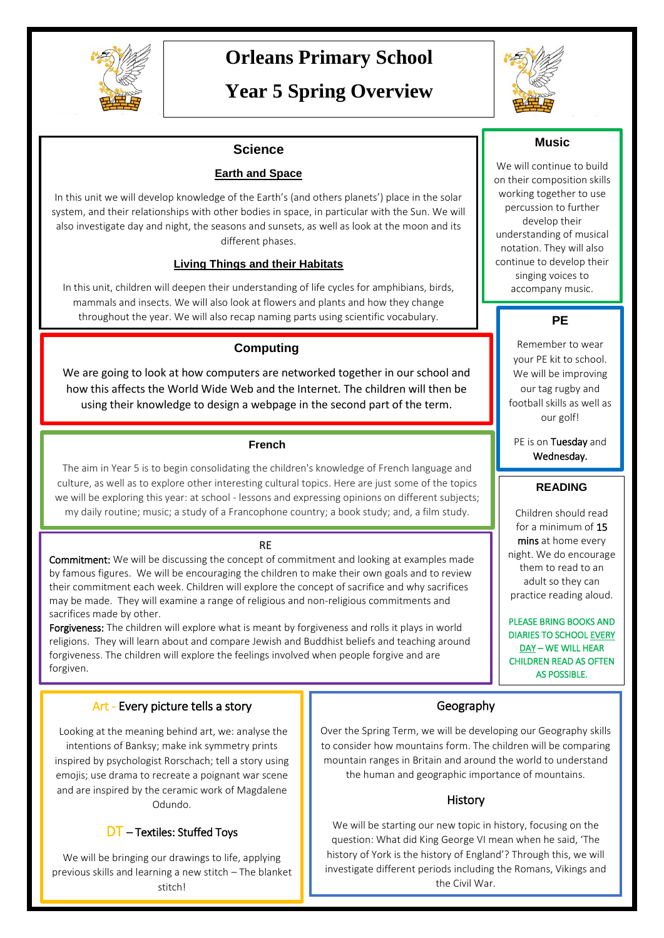

# **Orleans Primary School**

# **Year 5 Spring Overview**



### **Science**

#### **Earth and Space**

In this unit we will develop knowledge of the Earth's (and others planets') place in the solar system, and their relationships with other bodies in space, in particular with the Sun. We will also investigate day and night, the seasons and sunsets, as well as look at the moon and its different phases.

#### **Living Things and their Habitats**

In this unit, children will deepen their understanding of life cycles for amphibians, birds, mammals and insects. We will also look at flowers and plants and how they change throughout the year. We will also recap naming parts using scientific vocabulary.

#### **Computing**

We are going to look at how computers are networked together in our school and how this affects the World Wide Web and the Internet. The children will then be using their knowledge to design a webpage in the second part of the term.

#### **French**

The aim in Year 5 is to begin consolidating the children's knowledge of French language and culture, as well as to explore other interesting cultural topics. Here are just some of the topics we will be exploring this year: at school - lessons and expressing opinions on different subjects; my daily routine; music; a study of a Francophone country; a book study; and, a film study.

#### RE

**Commitment:** We will be discussing the concept of commitment and looking at examples made by famous figures. We will be encouraging the children to make their own goals and to review their commitment each week. Children will explore the concept of sacrifice and why sacrifices may be made. They will examine a range of religious and non-religious commitments and sacrifices made by other.

Forgiveness: The children will explore what is meant by forgiveness and rolls it plays in world religions. They will learn about and compare Jewish and Buddhist beliefs and teaching around forgiveness. The children will explore the feelings involved when people forgive and are forgiven.

#### Art - Every picture tells a story

 Looking at the meaning behind art, we: analyse the intentions of Banksy; make ink symmetry prints inspired by psychologist Rorschach; tell a story using emojis; use drama to recreate a poignant war scene and are inspired by the ceramic work of Magdalene Odundo.

#### DT – Textiles: Stuffed Toys

We will be bringing our drawings to life, applying previous skills and learning a new stitch – The blanket stitch!

### **Music**

We will continue to build on their composition skills working together to use percussion to further develop their understanding of musical notation. They will also continue to develop their singing voices to accompany music.

## **PE**

Remember to wear your PE kit to school. We will be improving our tag rugby and football skills as well as our golf!

PE is on Tuesday and Wednesday.

#### **READING**

Children should read for a minimum of 15 mins at home every night. We do encourage them to read to an adult so they can practice reading aloud.

PLEASE BRING BOOKS AND DIARIES TO SCHOOL EVERY DAY – WE WILL HEAR CHILDREN READ AS OFTEN AS POSSIBLE.

#### Geography

Over the Spring Term, we will be developing our Geography skills to consider how mountains form. The children will be comparing mountain ranges in Britain and around the world to understand the human and geographic importance of mountains.

#### **History**

We will be starting our new topic in history, focusing on the question: What did King George VI mean when he said, 'The history of York is the history of England'? Through this, we will investigate different periods including the Romans, Vikings and the Civil War.